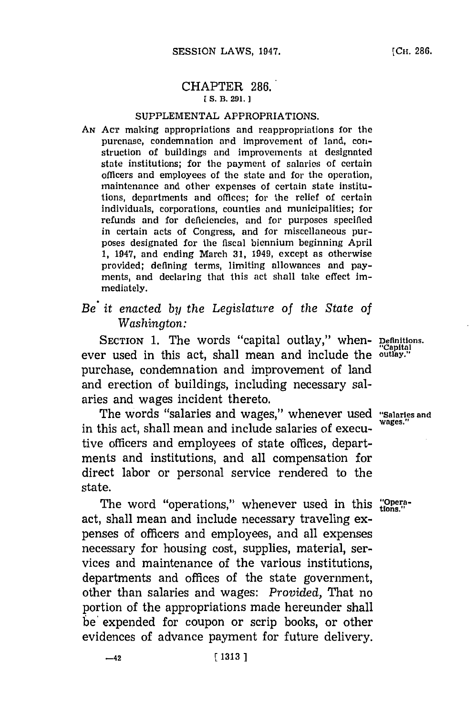#### CHAPTER **286." [ S. B. 291.**

#### **SUPPLEMENTAL** APPROPRIATIONS.

- **AN ACr** making appropriations and reappropriations for the purcnase, condemnation and improvement of land, construction of buildings and improvements at designated state institutions; for the payment of salaries of certain officers and employees of the state and for the operation, maintenance and other expenses of certain state institutions, departments and offices; for the relief of certain individuals, corporations, counties and municipalities; for refunds and for deficiencies, and for purposes specified in certain acts of Congress, and for miscellaneous purposes designated for the fiscal biennium beginning April **1,** 1947, and ending March **31,** 1949, except as otherwise provided; defining terms, limiting allowances and payments, and declaring that this act shall take effect immediately.
- *Be it enacted by the Legislature of the State of Washington:*

SECTION 1. The words "capital outlay," when- **Definitions**. ever used in this act, shall mean and include the outlay." purchase, condemnation and improvement of land and erection of buildings, including necessary salaries and wages incident thereto.

The words "salaries and wages," whenever used "Salaries and in this act, shall mean and include salaries of executive officers and employees of state offices, departments and institutions, and all compensation for direct labor or personal service rendered to the state.

The word "operations," whenever used in this "Operaact, shall mean and include necessary traveling expenses of officers and employees, and all expenses necessary for housing cost, supplies, material, services and maintenance of the various institutions, departments and offices of the state government, other than salaries and wages: *Provided,* That no portion of the appropriations made hereunder shall be' expended for coupon or scrip books, or other evidences of advance payment for future delivery.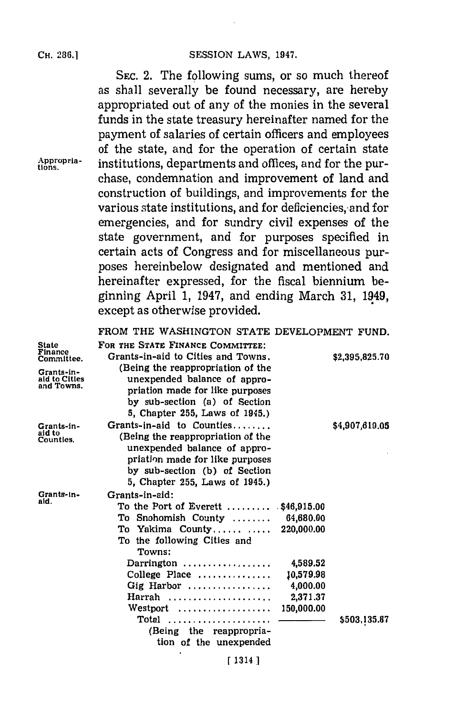**SEC.** 2. The following sums, or so much thereof as shall severally be found necessary, are hereby appropriated out of any of the monies in the several funds in the state treasury hereinafter named for the payment of salaries of certain officers and employees of the state, and for the operation of certain state Appropria- institutions, departments and offices, and for the purchase, condemnation and improvement of land and construction of buildings, and improvements for the various state institutions, and for deficiencies, and for emergencies, and for sundry civil expenses of the state government, and for purposes specified in certain acts of Congress and for miscellaneous purposes hereinbelow designated and mentioned and hereinafter expressed, for the fiscal biennium beginning April **1,** 1947, and ending March **31,** 1949, except as otherwise provided.

#### FROM THE WASHINGTON **STATE DEVELOPMENT FUND.**

| <b>State</b><br>Finance<br>Committee.     | FOR THE STATE FINANCE COMMITTEE:<br>Grants-in-aid to Cities and Towns.<br>(Being the reappropriation of the                                                                                          |                                                             | \$2,395,825.70 |
|-------------------------------------------|------------------------------------------------------------------------------------------------------------------------------------------------------------------------------------------------------|-------------------------------------------------------------|----------------|
| Grants-in-<br>aid to Cities<br>and Towns. | unexpended balance of appro-<br>priation made for like purposes<br>by sub-section (a) of Section<br>5, Chapter 255, Laws of 1945.)                                                                   |                                                             |                |
| Grants-in-<br>aid to<br>Counties.         | Grants-in-aid to Counties<br>(Being the reappropriation of the<br>unexpended balance of appro-<br>priation made for like purposes<br>by sub-section (b) of Section<br>5. Chapter 255, Laws of 1945.) |                                                             | \$4,907,619.05 |
| Grants-in-<br>aid.                        | Grants-in-aid:<br>To the Port of Everett $\,\dots\ldots$ .<br>To Snohomish County<br>To Yakima County<br>To the following Cities and<br>Towns:                                                       | $.$ \$46,915.00<br>64,680.00<br>220,000.00                  |                |
|                                           | Darrington<br>College Place<br>Gig Harbor<br>Harrah<br>Westport                                                                                                                                      | 4,589.52<br>10,579.98<br>4,000.00<br>2,371.37<br>150,000.00 |                |
|                                           | (Being the reappropria-<br>tion of the unexpended                                                                                                                                                    |                                                             | \$503,135.87   |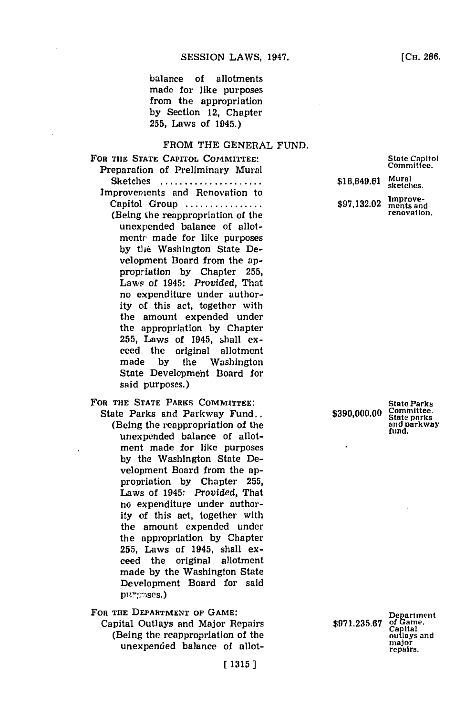balance of allotments made for like purposes from the appropriation **by** Section 12, Chapter **255,** Laws of 1945.)

#### FROM THE **GENERAL FUND.**

**FOR THE STATE CAPITOL COMMITTEE:** Preparation of Preliminary Mural Sketches ..................... Improvem/ents and Renovation to Capitol Group **...............** (Being the reappropriation of the unexpended balance of allotmentr made for like purposes **by** the: Washington State Development Board from the appropriation **by** Chapter **255,** Laws of 1945: *Provided,* That no expenditure under authority of this act, together with the amount expended under the appropriation **by** Chapter **255,** Laws of 1945, ,hall exceed the original allotment made **by** the Washington State Development Board for said purposes.) **FOR THE STATE PARKS COMMITTEE:** State Parks and Parkway Fund..

(Being the reappropriation of the unexpended balance of allotment made for like purposes **by** the Washington State Development Board from the appropriation **by** Chapter **255,** Laws of 1945: *Provided,* That no expenditure under authority of this act, together with the amount expended under the appropriation **by** Chapter **255,** Laws of 1945, shall exceed the original allotment made **by** the Washington State Development Board for said purtrases.)

FOR THE DEPARTMENT OF GAME:

Capital Outlays and Major Repairs (Being the reappropriation of the unexpended balance of allot\$18,849.61 Mural<br>sketches. \$97,132.02 **Improve-**

 $$390,000.00$ 

**State Parks State parks and parkway fund.**

**Department** \$971.235.67 of Gam outlays **sand** major **repairs.**

State Capitol<br>Committee.

renovation.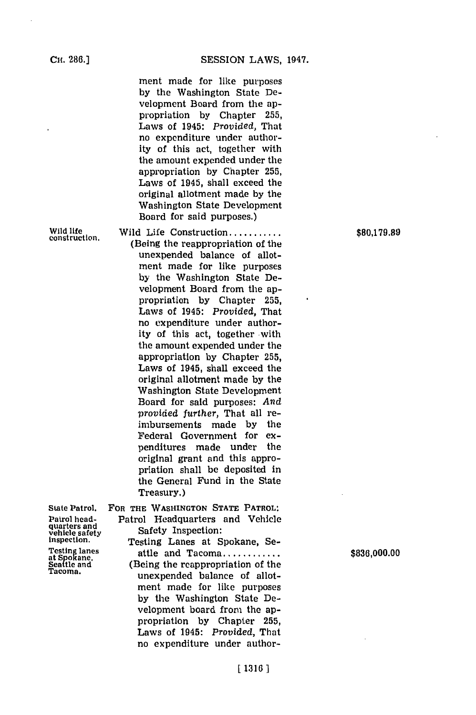ment made for like purposes **by** the Washington State Development Board from the appropriation **by** Chapter **255,** Laws of 1945: *Provided,* That no expenditure under authority of this act, together with the amount expended under the appropriation **by** Chapter **255,** Laws of 1945, shall exceed the original allotment made **by** the Washington State Development Board for said purposes.)

Wild life **Wild Life Construction** *.........* \$80,179.89<br> **80,179.89** (Being the reappropriation of the unexpended balance of allotment made for like purposes **by** the Washington State Development Board from the appropriation **by** Chapter **255,** Laws of 1945: *Provided,* That no expenditure under authority of this act, together with the amount expended under the appropriation **by** Chapter **255,** Laws of 1945, shall exceed the original allotment made **by** the Washington State Development Board for said purposes: *And provided further,* That all reimbursements made **by** the Federal Government for expenditures made under the original grant and this appropriation shall **be** deposited in the General Fund in the State Treasury.)

quarters and<br>vehicle safety

State Patrol. FOR **THE** WASHINGTON **STATE** PATROL: Patrol head- Patrol Headquarters and Vehicle

vehicle safety Safety Inspection:<br>
vehicle safety Safety Inspection:<br>
Testing lanes at Spokane, Se-<br>
Testing lanes at Spokane, Se-<br>
attle and Tacoma............<br>
Seattle and (Being the reappropriation of the

Testing lanes attle and Tacoma **........... \$836,000.00**<br>
at Spokane,<br>
Seatle and (Being the reappropriation of the<br>
Tacoma. unexpended balance of allotment made for like purposes **by** the Washington State Development board from the appropriation **by** Chapter **255,** Laws of 1945: *Provided,* That no expenditure under author-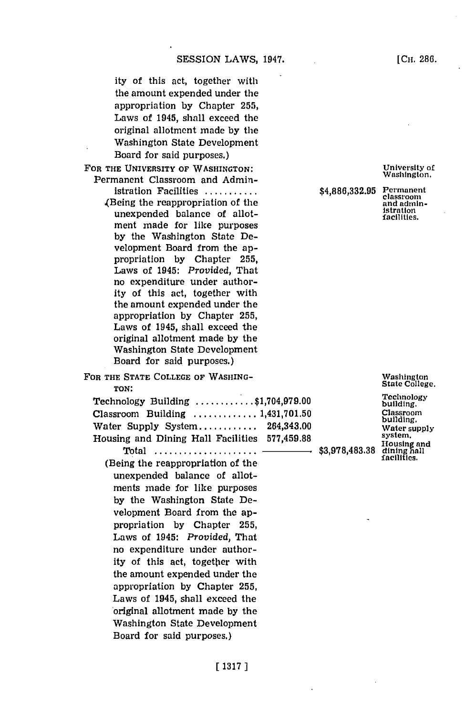*ity* of this act, together with the amount expended under the appropriation **by** Chapter **255,** Laws of 1945, shall exceed the original allotment made **by** the Washington State Development Board for said purposes.)

FOR THE UNIVERSITY OF WASHINGTON: Permanent Classroom and Admin-

- istration **Facilities...........** 4(Being the reappropriation of the unexpended balance of allotment made for like purposes **by** the Washington State Development Board from the appropriation **by** Chapter **255,** Laws of 1945: *Provided,* That no expenditure under authority of this act, together with the amount expended under the appropriation **by** Chapter **255,** Laws of 1945, shall exceed the original allotment made **by** the Washington State Development Board for said purposes.)
- FOR **THE STATE COLLEGE OF WASHING-TON:**

| Technology Building $\ldots \ldots \ldots$ \$1,704,979.00     |  | Technology<br>building.    |
|---------------------------------------------------------------|--|----------------------------|
| Classroom Building $\ldots \ldots \ldots \ldots 1,431,701.50$ |  | Classroom<br>building.     |
| Water Supply System $264,343.00$                              |  | Water suppl                |
| Housing and Dining Hall Facilities 577,459.88                 |  | system.<br>Housing and     |
|                                                               |  | dining hall<br>facilities. |
| (Being the reappropriation of the                             |  |                            |
| unexpended balance of allot-                                  |  |                            |

unexpend ments made for like purposes **by** the Washington State Development Board from the appropriation **by** Chapter **255,** Laws of 1945: *Provided,* That no expenditure under authority of this act, together with the amount expended under the appropriation **by** Chapter **255,** Laws of 1945, shall exceed the 'original allotment made **by** the Washington State Development Board for said purposes.)

University of Washington.

**\$4,886,332.95** Permanent

classroom and administration facilities.

Washington State College.

Technology building. Classroom building. Water supply system.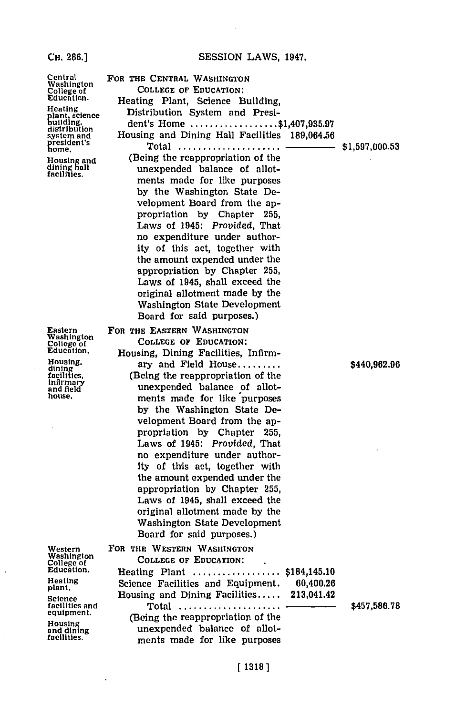#### **CH. 286.1**

# Central Washington College of Education.

**H** eating lant, science<br>wilding dls'tributlon system and  $\overline{\text{none}}$ 

Housing an<mark>d</mark><br>dining hall<br>facilities.

Eastern Washington College of Education.

Housing,<br>dining<br>facilities,<br>infirmary<br>and field<br>house.

 $\ddot{\phantom{a}}$ 

 $\overline{\phantom{a}}$ 

Western Washington **College of** Education,

Heating plant.

 $\overline{\phantom{a}}$ 

 $\cdot$ 

Science facilities and equipment.

Housing<br>and dining<br>facilities.

| FOR THE CENTRAL WASHINGTON<br><b>COLLEGE OF EDUCATION:</b><br>Heating Plant, Science Building,<br>Distribution System and Presi-                                                                                                                                                                                                                                                                                                                                                                                                                          |                |
|-----------------------------------------------------------------------------------------------------------------------------------------------------------------------------------------------------------------------------------------------------------------------------------------------------------------------------------------------------------------------------------------------------------------------------------------------------------------------------------------------------------------------------------------------------------|----------------|
| dent's Home \$1,407,935.97<br>Housing and Dining Hall Facilities 189,064.56<br>Total $\ldots$<br>-                                                                                                                                                                                                                                                                                                                                                                                                                                                        | \$1,597,000.53 |
| (Being the reappropriation of the<br>unexpended balance of allot-<br>ments made for like purposes<br>by the Washington State De-<br>velopment Board from the ap-<br>propriation by Chapter 255,<br>Laws of 1945: Provided, That                                                                                                                                                                                                                                                                                                                           |                |
| no expenditure under author-<br>ity of this act, together with<br>the amount expended under the<br>appropriation by Chapter 255,<br>Laws of 1945, shall exceed the<br>original allotment made by the<br>Washington State Development<br>Board for said purposes.)                                                                                                                                                                                                                                                                                         |                |
| FOR THE EASTERN WASHINGTON<br>COLLEGE OF EDUCATION:<br>Housing, Dining Facilities, Infirm-                                                                                                                                                                                                                                                                                                                                                                                                                                                                |                |
| ary and Field House<br>(Being the reappropriation of the<br>unexpended balance of allot-<br>ments made for like purposes<br>by the Washington State De-<br>velopment Board from the ap-<br>propriation by Chapter 255,<br>Laws of 1945: Provided, That<br>no expenditure under author-<br>ity of this act, together with<br>the amount expended under the<br>appropriation by Chapter 255,<br>Laws of 1945, shall exceed the<br>original allotment made by the<br>Washington State Development<br>Board for said purposes.)<br>FOR THE WESTERN WASHINGTON | \$440,962.96   |
| <b>COLLEGE OF EDUCATION:</b><br>Heating Plant \$184,145.10                                                                                                                                                                                                                                                                                                                                                                                                                                                                                                |                |
| Science Facilities and Equipment.<br>60,400.26<br>Housing and Dining Facilities<br>213,041.42<br>Total  -<br>(Being the reappropriation of the<br>unexpended balance of allot-<br>ments made for like purposes                                                                                                                                                                                                                                                                                                                                            | \$457,586.78   |

#### [1318]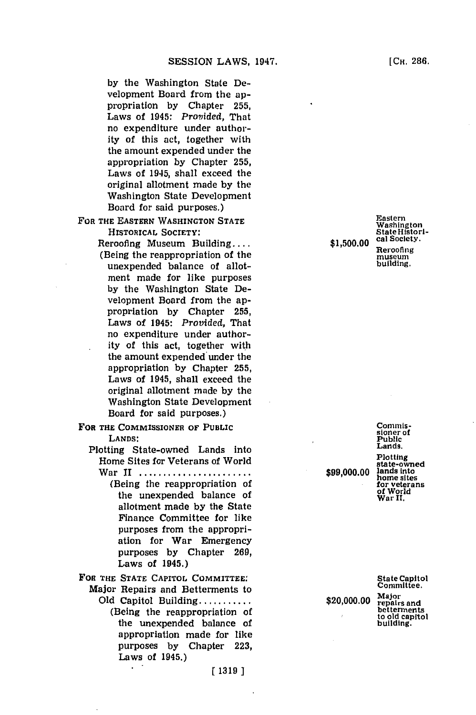**by** the Washington State Development Board from the appropriation **by** Chapter **255,** Laws of 1945: *Provided,* That no expenditure under authority of this act, together with the amount expended under the appropriation **by** Chapter **255,** Laws of 1945, shall exceed the original allotment made **by** the Washington State Development Board for said purposes.)

FOR THE **EASTERN WASHINGTON STATE** HISTORICAL **SOCIETY:**

> Reroofing Museum Building.... (Being the reappropriation of the unexpended balance of allotment made for like purposes **by** the Washington State Development Board from the appropriation **by** Chapter **255,** Laws of 1945: *Provided,* That no expenditure under authority of this act, together with the amount expended under the appropriation **by** Chapter **255,** Laws of 1945, shall exceed the original allotment made **by** the Washington State Development Board for said purposes.)

- FOR THE COMMISSIONER OF PUBLIC **LANDS:**
	- Plotting State-owned Lands into Home Sites for Veterans of World
		- War **11 ......................** (Being the reappropriation of the unexpended balance of allotment made **by** the State Finance Committee for like purposes from the appropriation for War Emergency purposes **by** Chapter **269,** Laws of 1945.)
- FOR THE **STATE** CAPITOL COMMITTEE:
	- Major Repairs and Betterments to **Old** Capitol Building **..........** (Being the reappropriation of the unexpended balance of appropriation made for like purposes **by** Chapter **223,** Laws of 1945.)

Eastern Washington State Histori-<br>cal Society. **\$,0.0cal** Society. \$,0.0Reroofing museum museum<sup>-</sup><br>building.

> Commissioner of Public Lands.

Plotting state-owned<br>lands into **\$99,000.00** land: into home sites for veterans of World War **11,**

State Capitol Committee.

 $$20,000.00$   $Major$ <br>repairs and betterments to old capitol building.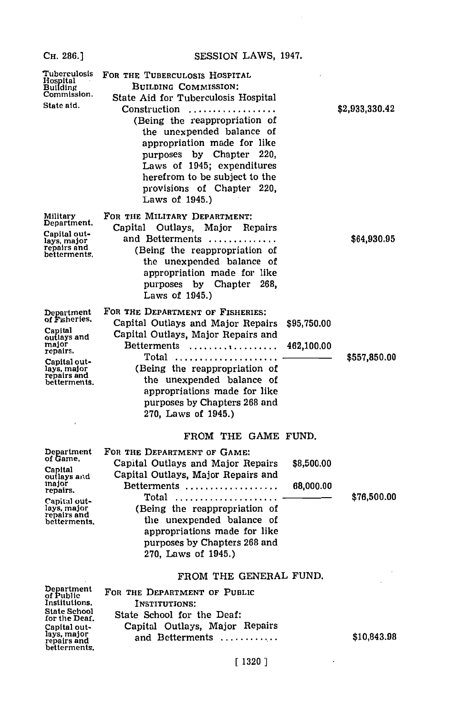#### Сн. 286.]

SESSION LAWS, 1947.

| Tuberculosis<br>Hospital<br>Building<br>Commission.<br>State aid.                                                                        | FOR THE TUBERCULOSIS HOSPITAL<br><b>BUILDING COMMISSION:</b><br>State Aid for Tuberculosis Hospital<br>(Being the reappropriation of<br>the unexpended balance of<br>appropriation made for like<br>purposes by Chapter 220,<br>Laws of 1945; expenditures<br>herefrom to be subject to the<br>provisions of Chapter 220,<br>Laws of 1945.) |                           | \$2,933,330.42 |
|------------------------------------------------------------------------------------------------------------------------------------------|---------------------------------------------------------------------------------------------------------------------------------------------------------------------------------------------------------------------------------------------------------------------------------------------------------------------------------------------|---------------------------|----------------|
| Military<br>Department.<br>Capital out-<br>lays, major<br>repairs and<br>betterments.                                                    | FOR THE MILITARY DEPARTMENT:<br>Capital Outlays,<br>Major<br>Repairs<br>and Betterments<br>(Being the reappropriation of<br>the unexpended balance of<br>appropriation made for like<br>purposes by Chapter<br>268.<br>Laws of 1945.)                                                                                                       |                           | \$64,930.95    |
| Department<br>of Fisheries.<br>Capital<br>outlays and<br>major<br>repairs.<br>Capital out-<br>lays, major<br>repairs and<br>betterments. | FOR THE DEPARTMENT OF FISHERIES:<br>Capital Outlays and Major Repairs<br>Capital Outlays, Major Repairs and<br>Betterments<br>Total<br>(Being the reappropriation of<br>the unexpended balance of<br>appropriations made for like<br>purposes by Chapters 268 and<br>270, Laws of 1945.)                                                    | \$95,750.00<br>462,100.00 | \$557,850.00   |
| Department<br>of Game.<br>Capital<br>outlays and<br>major<br>repairs.<br>Capital out-<br>lays, major<br>repairs and<br>betterments.      | FROM THE GAME FUND.<br>FOR THE DEPARTMENT OF GAME:<br>Capital Outlays and Major Repairs<br>Capital Outlays, Major Repairs and<br>$Betterments$<br>$Total$<br>(Being the reappropriation of<br>the unexpended balance of<br>appropriations made for like<br>purposes by Chapters 268 and<br>270. Laws of 1945.)                              | \$8,500.00<br>68,000.00   | \$76,500.00    |
| Department<br>of Public<br>Institutions,<br><b>State School</b><br>for the Deaf.<br>Capital out~                                         | FROM THE GENERAL FUND.<br>FOR THE DEPARTMENT OF PUBLIC<br>INSTITUTIONS:<br>State School for the Deaf:<br>Capital Outlays, Major Repairs                                                                                                                                                                                                     |                           |                |

Capital out-<br>lays, major<br>repairs and<br>betterments.

## $[1320]$

and Betterments ............

\$10,843.98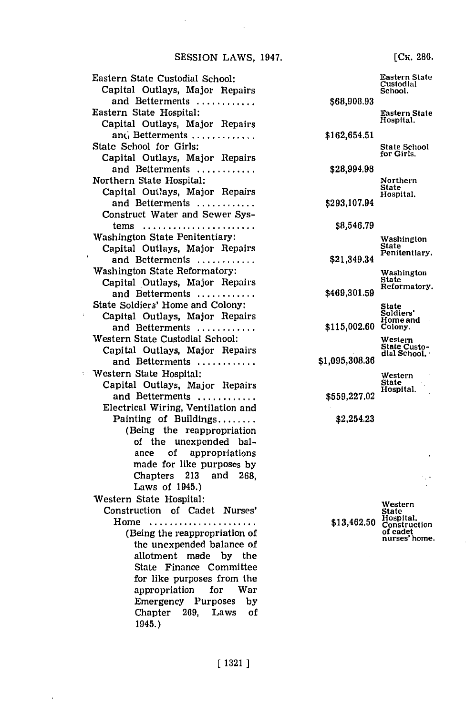Eastern State Custodial School: Capital Outlays, Major Repairs and Betterments **............** Eastern State Hospital: Capital Outlays, Major Repairs and Betterments ............. State School for Girls: Capital Outlays, Major Repairs and Betterments **............** Northern State Hospital: Capital Ouilays, Major Repairs and Betterments **............** Construct Water and Sewer Sys**tems......... ............** Washington State Penitentiary: Capital Outlays, Major Repairs and **Betterments............** Washington State Reformatory: Capital Outlays, Major Repairs and Betterments **............** State Soldiers' Home and Colony: Capital Outlays, Major Repairs and Betterments **........... \*** Western State Custodial School: Capital Outlays, Major Repairs and Betterments **............** Western State Hospital: Capital Outlays, Major Repairs and **Betterments............** Electrical Wiring, Ventilation and Painting of Buildings **......** (Being the reappropriation of the unexpended balance of appropriations made for like purposes **by** Chapters **213** and **268,** Laws of 1945.) Western State Hospital: Construction of Cadet Nurses' **Home.....................** (Being the reappropriation of the unexpended balance of allotment made **by** the State Finance Committee for like purposes from the appropriation for War Emergency Purposes **by**

**\$68,908.93 \$162,654.51 \$28,994.98 \$293,107.94 \$8,546.79** \$21,349.34 **\$469,301.59** Eastern State<br>Custodial School. Eastern State Hospital. State School<br>for Girls. Northern State Hospital. Washington State Penitentiary. Washington State Reformatory. State Soldiers' Home and **\$115,002.60** Colony. **\$1,095,308.36 \$559,227.02** Western State Custo-<br>dial School. Western State Hospital. \$2,254.23

Western<br>State \$13,462.50 Hospital. of cadet nurses' home.

[Cii. **286.**

Chapter **269,** Laws of

1945.)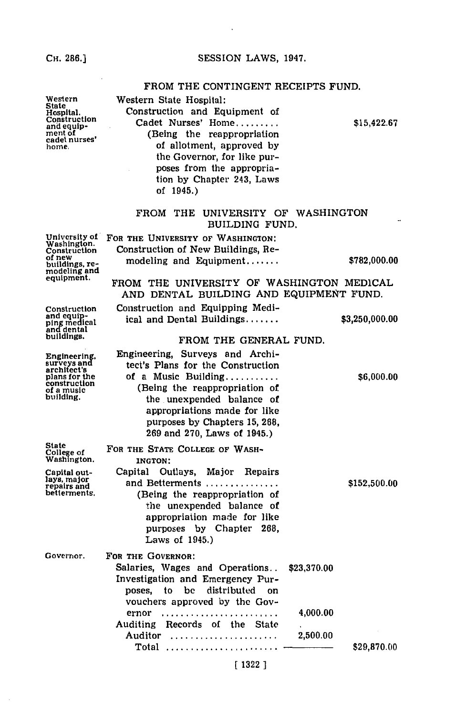**CH. 286.]**

## FROM THE **CONTINGENT** RECEIPTS **FUND.**

| Western<br>State<br>Hospital.<br>Construction<br>and equip-<br>ment of<br>cadet nurse <b>s'</b><br>home. | Western State Hospital:<br>Construction and Equipment of<br>Cadet Nurses' Home<br>(Being the reappropriation<br>of allotment, approved by<br>the Governor, for like pur-<br>poses from the appropria-<br>tion by Chapter 243, Laws<br>of $1945.$ )                              | \$15,422.67    |
|----------------------------------------------------------------------------------------------------------|---------------------------------------------------------------------------------------------------------------------------------------------------------------------------------------------------------------------------------------------------------------------------------|----------------|
|                                                                                                          | FROM THE<br>UNIVERSITY OF WASHINGTON<br>BUILDING FUND.                                                                                                                                                                                                                          |                |
| University of<br>Washington.<br>Construction<br>of new<br>buildings, re-<br>modeling and<br>equipment.   | FOR THE UNIVERSITY OF WASHINGTON:<br>Construction of New Buildings, Re-<br>modeling and Equipment<br>FROM THE UNIVERSITY OF WASHINGTON MEDICAL                                                                                                                                  | \$782,000.00   |
| Construction<br>and equip-<br>ping medical<br>and dental<br>buildings.                                   | AND DENTAL BUILDING AND EQUIPMENT FUND.<br>Construction and Equipping Medi-<br>ical and Dental Buildings<br>FROM THE GENERAL FUND.                                                                                                                                              | \$3,250,000.00 |
| Engineering,<br>surveys and<br>architect's<br>plans for the<br>construction<br>of a music<br>building.   | Engineering, Surveys and Archi-<br>tect's Plans for the Construction<br>of a Music Building<br>(Being the reappropriation of<br>the unexpended balance of<br>appropriations made for like<br>purposes by Chapters 15, 268,<br>269 and 270, Laws of 1945.)                       | \$6,000.00     |
| <b>State</b><br>College of<br>Washington.<br>Capital out-<br>lays, major<br>repairs and<br>betterments.  | FOR THE STATE COLLEGE OF WASH-<br>INGTON:<br>Outlays,<br>Major<br>Repairs<br>Capital<br>and Betterments<br>(Being the reappropriation of<br>the unexpended balance of<br>appropriation made for like<br>purposes by Chapter 268,<br>Laws of $1945.)$                            | \$152,500.00   |
| Governor.                                                                                                | FOR THE GOVERNOR:<br>Salaries, Wages and Operations<br>\$23,370.00<br>Investigation and Emergency Pur-<br>be<br>distributed on<br>poses,<br>to<br>vouchers approved by the Gov-<br>4,000.00<br>ernor<br>Auditing Records of the<br><b>State</b><br>Auditor<br>2,500.00<br>Total | \$29,870.00    |

## **[ 1322 ]**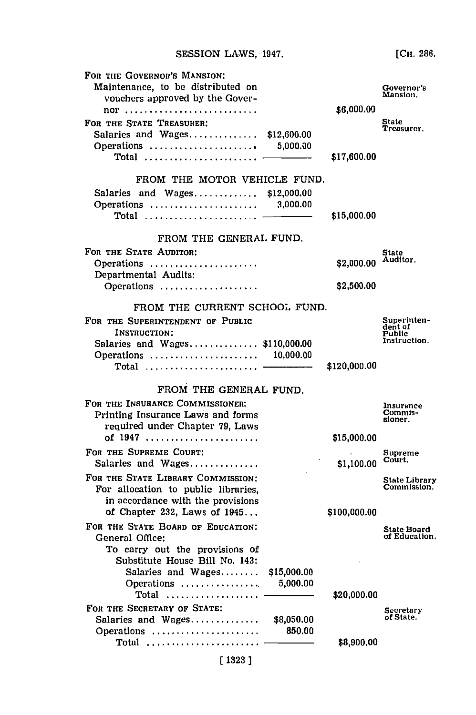**[CH. 286.**

| FOR THE GOVERNOR'S MANSION:<br>Maintenance, to be distributed on<br>vouchers approved by the Gover-<br>nor                                      |                         | \$6,000.00                | Governor's<br>Mansion.                           |
|-------------------------------------------------------------------------------------------------------------------------------------------------|-------------------------|---------------------------|--------------------------------------------------|
| FOR THE STATE TREASURER:<br>Salaries and Wages<br>Operations<br>Total                                                                           | \$12,600.00<br>5,000.00 | \$17,600.00               | State<br>Treasurer.                              |
|                                                                                                                                                 |                         |                           |                                                  |
| FROM THE MOTOR VEHICLE FUND.<br>Salaries and Wages \$12,000.00<br>Operations<br>$\texttt{Total}$                                                | 3,000.00                | \$15,000.00               |                                                  |
| FROM THE GENERAL FUND.                                                                                                                          |                         |                           |                                                  |
| FOR THE STATE AUDITOR:<br>Operations                                                                                                            |                         | \$2,000.00                | State<br>Auditor.                                |
| Departmental Audits:<br>Operations                                                                                                              |                         | \$2,500.00                |                                                  |
| FROM THE CURRENT SCHOOL FUND.                                                                                                                   |                         |                           |                                                  |
| FOR THE SUPERINTENDENT OF PUBLIC<br>INSTRUCTION:<br>Salaries and Wages \$110,000.00<br>Operations  10,000.00                                    |                         |                           | Superinten-<br>dent of<br>Public<br>Instruction. |
| Total                                                                                                                                           |                         | \$120,000.00              |                                                  |
| FROM THE GENERAL FUND.                                                                                                                          |                         |                           |                                                  |
| FOR THE INSURANCE COMMISSIONER:<br>Printing Insurance Laws and forms<br>required under Chapter 79, Laws<br>of 1947                              |                         |                           | Insurance<br>Commis-<br>sioner.                  |
| FOR THE SUPREME COURT:<br>Salaries and Wages                                                                                                    |                         | \$15,000.00<br>\$1,100.00 | Supreme<br>Court.                                |
| FOR THE STATE LIBRARY COMMISSION:<br>For allocation to public libraries,<br>in accordance with the provisions<br>of Chapter 232, Laws of $1945$ |                         | \$100,000.00              | State Library<br>Commission.                     |
| FOR THE STATE BOARD OF EDUCATION:<br>General Office:<br>To carry out the provisions of                                                          |                         |                           | <b>State Board</b><br>of Education.              |
| Substitute House Bill No. 143:<br>Salaries and Wages<br>Operations<br>Total                                                                     | \$15,000.00<br>5,000.00 | \$20,000.00               |                                                  |
| FOR THE SECRETARY OF STATE:<br>Salaries and Wages<br>Operations                                                                                 | \$8,050.00<br>850.00    |                           | Secretary<br>of State.                           |
| Total<br>[1323]                                                                                                                                 |                         | \$8,900.00                |                                                  |
|                                                                                                                                                 |                         |                           |                                                  |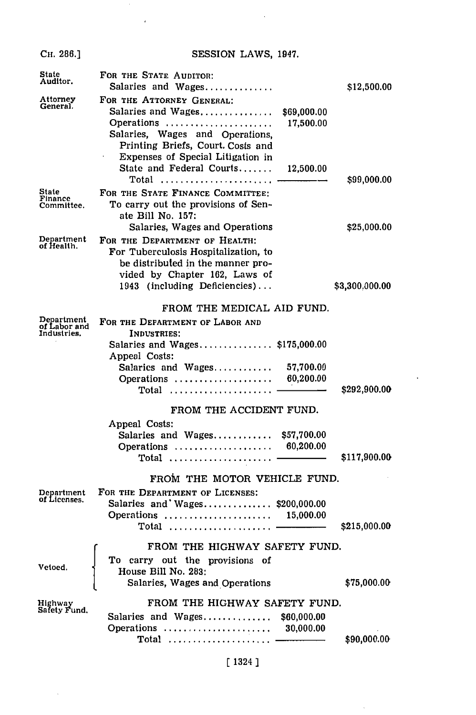| Сн. 286.] |
|-----------|

 $\overline{1}$ 

## SESSION LAWS, 1947.

 $\sim 10^7$ 

| State<br>Auditor.                         | FOR THE STATE AUDITOR:<br>Salaries and Wages                                                                                                                                                                                                    | \$12,500.00    |
|-------------------------------------------|-------------------------------------------------------------------------------------------------------------------------------------------------------------------------------------------------------------------------------------------------|----------------|
| Attorney<br>General.                      | FOR THE ATTORNEY GENERAL:<br>Salaries and Wages<br>\$69,000.00<br>17,500.00<br>Operations<br>Salaries, Wages and Operations,<br>Printing Briefs, Court. Costs and<br>Expenses of Special Litigation in<br>State and Federal Courts<br>12,500.00 |                |
| State<br>Finance                          | Total<br>FOR THE STATE FINANCE COMMITTEE:                                                                                                                                                                                                       | \$99,000.00    |
| Committee.                                | To carry out the provisions of Sen-<br>ate Bill No. 157:<br>Salaries, Wages and Operations                                                                                                                                                      | \$25,000.00    |
| Department<br>of Health.                  | FOR THE DEPARTMENT OF HEALTH:<br>For Tuberculosis Hospitalization, to<br>be distributed in the manner pro-<br>vided by Chapter 162, Laws of<br>1943 (including Deficiencies)                                                                    | \$3,300,000.00 |
|                                           | FROM THE MEDICAL AID FUND.                                                                                                                                                                                                                      |                |
| Department<br>of Labor and<br>Industries. | FOR THE DEPARTMENT OF LABOR AND<br>INDUSTRIES:<br>Salaries and Wages\$175,000.00<br>Appeal Costs:<br>Salarics and Wages<br>57,700.00<br>60,200.00<br>Operations<br>$Total$                                                                      | \$292,900.00   |
|                                           | FROM THE ACCIDENT FUND.                                                                                                                                                                                                                         |                |
|                                           | Appeal Costs:<br>Salaries and Wages<br>\$57,700.00<br>60,200.00<br>Operations<br>$Total$                                                                                                                                                        | \$117,900.00   |
|                                           | FROM THE MOTOR VEHICLE FUND.                                                                                                                                                                                                                    |                |
| Department<br>of Licenses.                | FOR THE DEPARTMENT OF LICENSES:<br>Salaries and Wages \$200,000.00<br>Operations<br>15,000.00                                                                                                                                                   | \$215,000.00   |
| Vetoed.                                   | FROM THE HIGHWAY SAFETY FUND.<br>To carry out the provisions of<br>House Bill No. 283:<br>Salaries, Wages and Operations                                                                                                                        | \$75,000.00    |
| Highway<br>Safety Fund.                   | FROM THE HIGHWAY SAFETY FUND.<br>Salaries and Wages<br>\$60,000.00                                                                                                                                                                              |                |
|                                           | 30,000.00<br>Operations<br>$\textbf{Total}$                                                                                                                                                                                                     | \$90,000.00    |

## [1324 1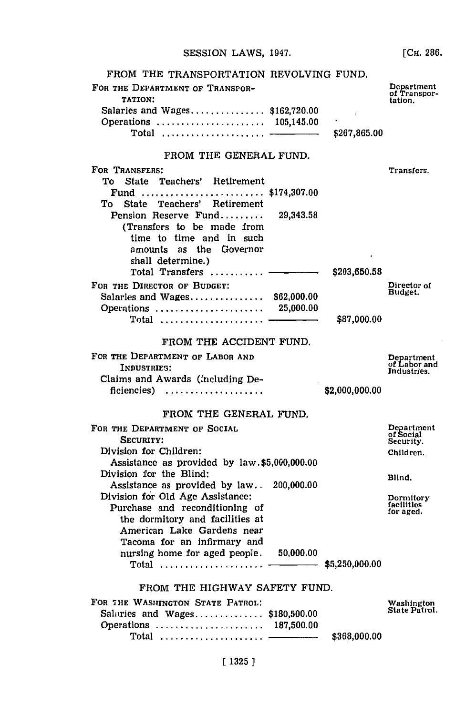**[CH. 286.**

| FROM THE TRANSPORTATION REVOLVING FUND.                                   |             |                |                                       |
|---------------------------------------------------------------------------|-------------|----------------|---------------------------------------|
| FOR THE DEPARTMENT OF TRANSPOR-<br>TATION:                                |             |                | Department<br>of Transpor-<br>tation. |
| Salaries and Wages $$162,720.00$                                          |             |                |                                       |
| Operations  105,145.00                                                    |             |                |                                       |
| Total  ——                                                                 |             | \$267,865.00   |                                       |
| FROM THE GENERAL FUND.                                                    |             |                |                                       |
| FOR TRANSFERS:                                                            |             |                | Transfers.                            |
| State Teachers' Retirement<br>To                                          |             |                |                                       |
| Fund  \$174,307.00<br>State Teachers' Retirement<br>То                    |             |                |                                       |
| Pension Reserve Fund                                                      | 29,343.58   |                |                                       |
| (Transfers to be made from                                                |             |                |                                       |
| time to time and in such                                                  |             |                |                                       |
| amounts as the Governor                                                   |             |                |                                       |
| shall determine.)<br>Total Transfers  -                                   |             | \$203,650.58   |                                       |
| FOR THE DIRECTOR OF BUDGET:                                               |             |                | Director of                           |
| Salaries and Wages                                                        | \$62,000.00 |                | Budget.                               |
| Operations  25,000.00                                                     |             |                |                                       |
|                                                                           |             | \$87,000.00    |                                       |
| FROM THE ACCIDENT FUND.                                                   |             |                |                                       |
| FOR THE DEPARTMENT OF LABOR AND                                           |             |                | Department<br>of Labor and            |
| INDUSTRIES:                                                               |             |                | Industries.                           |
| Claims and Awards (including De-                                          |             | \$2,000,000.00 |                                       |
| ficiencies)                                                               |             |                |                                       |
| FROM THE GENERAL FUND.                                                    |             |                |                                       |
| FOR THE DEPARTMENT OF SOCIAL                                              |             |                | Department<br>of Social               |
| SECURITY:<br>Division for Children:                                       |             |                | Security.                             |
| Assistance as provided by law.\$5,000,000.00                              |             |                | Children.                             |
| Division for the Blind:                                                   |             |                | Blind.                                |
| Assistance as provided by law                                             | 200,000.00  |                |                                       |
| Division for Old Age Assistance:                                          |             |                | Dormitory<br>facilities               |
| Purchase and reconditioning of                                            |             |                | for aged.                             |
| the dormitory and facilities at<br>American Lake Gardens near             |             |                |                                       |
| Tacoma for an infirmary and                                               |             |                |                                       |
| nursing home for aged people.                                             | 50,000.00   |                |                                       |
|                                                                           |             |                |                                       |
| FROM THE HIGHWAY SAFETY FUND.                                             |             |                |                                       |
| FOR THE WASHINGTON STATE PATROL:                                          |             |                | Washington                            |
| Salaries and Wages $$180,500.00$                                          |             |                | State Patrol.                         |
| Operations  187,500.00                                                    |             |                |                                       |
| Total $\overline{\phantom{iiiiiiiiiiiiiiiiiiiiiiiiiiiiiiiiiiiiiiiiiiii}}$ |             | \$368,000.00   |                                       |
|                                                                           |             |                |                                       |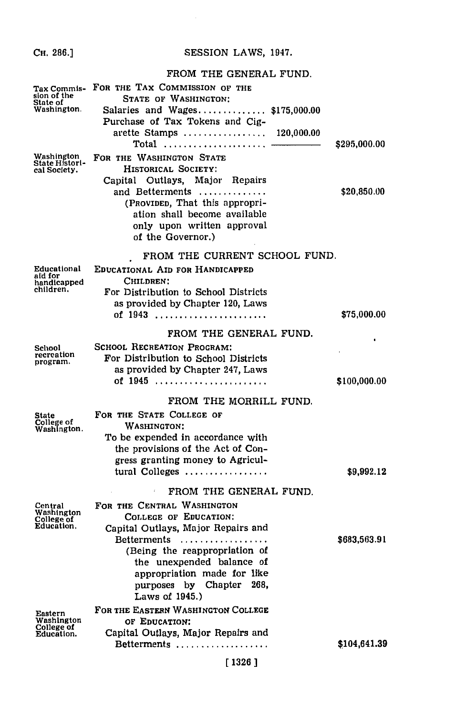## Сн. 286.]

## SESSION LAWS, 1947.

#### FROM THE GENERAL FUND.

| Tax Commis-<br>sion of the<br>State of<br>Washington. | FOR THE TAX COMMISSION OF THE<br>STATE OF WASHINGTON:<br>Salaries and Wages\$175,000.00<br>Purchase of Tax Tokens and Cig-<br>arette Stamps<br>120,000.00<br>Total                                                                                     | \$295,000.00 |
|-------------------------------------------------------|--------------------------------------------------------------------------------------------------------------------------------------------------------------------------------------------------------------------------------------------------------|--------------|
| Washington<br>State Histori-<br>cal Society.          | FOR THE WASHINGTON STATE<br>HISTORICAL SOCIETY:<br>Capital Outlays, Major Repairs<br>and Betterments<br>(Provided, That this appropri-<br>ation shall become available<br>only upon written approval<br>of the Governor.)                              | \$20,850.00  |
|                                                       | FROM THE CURRENT SCHOOL FUND.                                                                                                                                                                                                                          |              |
| Educational<br>aid for<br>handicapped<br>children.    | EDUCATIONAL AID FOR HANDICAPPED<br>CHILDREN:<br>For Distribution to School Districts<br>as provided by Chapter 120, Laws<br>of 1943                                                                                                                    | \$75,000.00  |
|                                                       | FROM THE GENERAL FUND.                                                                                                                                                                                                                                 |              |
| School<br>recreation<br>program.                      | <b>SCHOOL RECREATION PROGRAM:</b><br>For Distribution to School Districts<br>as provided by Chapter 247, Laws<br>of 1945                                                                                                                               | \$100,000.00 |
|                                                       | FROM THE MORRILL FUND.                                                                                                                                                                                                                                 |              |
| State<br>College of<br>Washington.                    | FOR THE STATE COLLEGE OF<br><b>WASHINGTON:</b><br>To be expended in accordance with<br>the provisions of the Act of Con-<br>gress granting money to Agricul-<br>tural Colleges                                                                         | \$9,992.12   |
|                                                       | FROM THE GENERAL FUND.                                                                                                                                                                                                                                 |              |
| Central<br>Washington<br>College of<br>Education.     | FOR THE CENTRAL WASHINGTON<br>COLLEGE OF EDUCATION:<br>Capital Outlays, Major Repairs and<br>Betterments<br>(Being the reappropriation of<br>the unexpended balance of<br>appropriation made for like<br>purposes by Chapter 268,<br>Laws of $1945.$ ) | \$683,563.91 |
| Eastern<br>Washington<br>College of<br>Education.     | FOR THE EASTERN WASHINGTON COLLEGE<br>OF EDUCATION:<br>Capital Outlays, Major Repairs and<br>Betterments                                                                                                                                               | \$104,641.39 |
|                                                       |                                                                                                                                                                                                                                                        |              |

## $[1326]$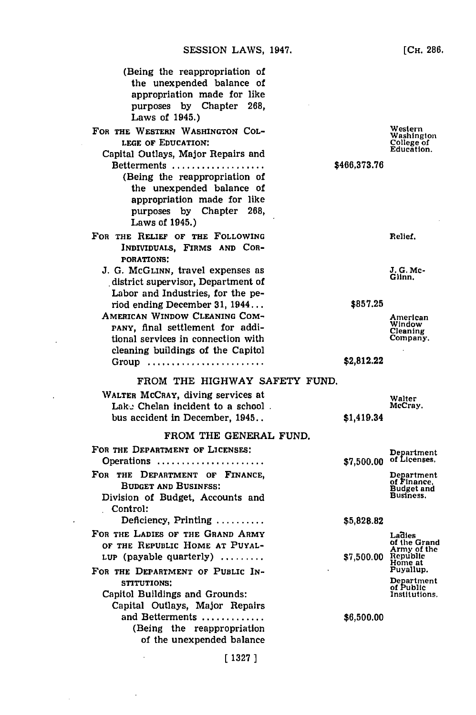- FOR THE WESTERN WASHINGTON **COL-LEGE** OF **EDUCATION:**
	- Capital Outlays, Major Repairs and Betterments **..................** (Being the reappropriation of the unexpended balance of appropriation made for like purposes **by** Chapter **268,**
- FOR THE RELIEF OF THE FOLLOWING INDIVIDUALS, FIRMS **AND** COR-**PORATIONS:**

Laws of 1945.)

**J. G.** McGLINN, travel expenses as district supervisor, Department of Labor and Industries, for the period ending December **31, 1944...**

AMERICAN WINDOW **CLEANING COM-**PANY, final settlement for additional services in connection with cleaning buildings of the Capitol **Group......................**

Western Washington College of Education,

**~466,373.76**

Relief.

*J.* **G.** Mc-Glinn.

**\$857.25**

American Window Cleaning Company.

**\$2,812.22**

#### FROM THE HIGHWAY SAFETY **FUND.**

| WALTER MCCRAY, diving services at<br>Lake Chelan incident to a school.<br>bus accident in December, 1945            | \$1,419.34 | Walter<br>McCray.                                            |
|---------------------------------------------------------------------------------------------------------------------|------------|--------------------------------------------------------------|
| FROM THE GENERAL FUND.                                                                                              |            |                                                              |
| FOR THE DEPARTMENT OF LICENSES:<br>Operations                                                                       | \$7,500.00 | Department<br>of Licenses.                                   |
| FOR THE DEPARTMENT OF FINANCE,<br><b>BUDGET AND BUSINESS:</b><br>Division of Budget, Accounts and<br>Control:       |            | Department<br>of Finance.<br><b>Budget and</b><br>Business.  |
| Deficiency, Printing $\ldots \ldots \ldots$                                                                         | \$5,828.82 |                                                              |
| FOR THE LADIES OF THE GRAND ARMY<br>OF THE REPUBLIC HOME AT PUYAL-<br>LUP (payable quarterly) $\ldots \ldots$       | \$7,500.00 | Ladies<br>of the Grand<br>Army of the<br>Republic<br>Home at |
| FOR THE DEPARTMENT OF PUBLIC IN-<br>STITUTIONS:<br>Capitol Buildings and Grounds:<br>Capital Outlays, Major Repairs |            | Puvallup.<br>Department<br>of Public<br>Institutions.        |
| and Betterments<br>(Being the reappropriation<br>of the unexpended balance                                          | \$6,500.00 |                                                              |
| 1327 1                                                                                                              |            |                                                              |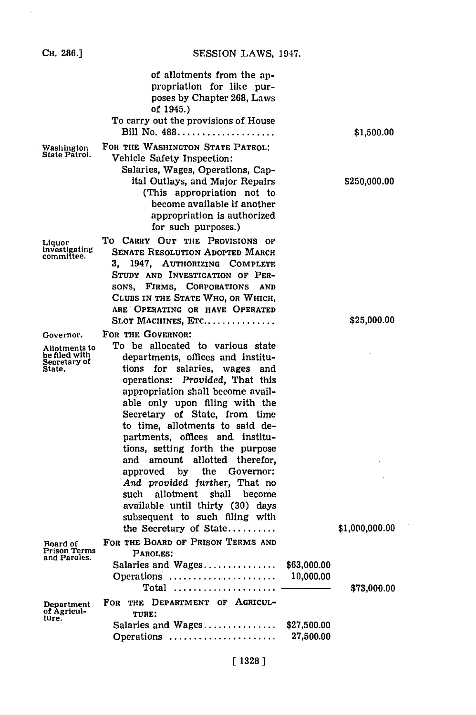| Сн. 286.1                                                             | SESSION LAWS, 1947.                                                                                                                                                                                                                                                                                                                                                                                                                                                                                                                                                                                                |                          |                |
|-----------------------------------------------------------------------|--------------------------------------------------------------------------------------------------------------------------------------------------------------------------------------------------------------------------------------------------------------------------------------------------------------------------------------------------------------------------------------------------------------------------------------------------------------------------------------------------------------------------------------------------------------------------------------------------------------------|--------------------------|----------------|
|                                                                       | of allotments from the ap-<br>propriation for like pur-<br>poses by Chapter 268, Laws<br>of 1945.)<br>To carry out the provisions of House<br>Bill No. 488                                                                                                                                                                                                                                                                                                                                                                                                                                                         |                          | \$1,500.00     |
| Washington<br>State Patrol.                                           | FOR THE WASHINGTON STATE PATROL:<br>Vehicle Safety Inspection:<br>Salaries, Wages, Operations, Cap-<br>ital Outlays, and Major Repairs<br>(This appropriation not to<br>become available if another<br>appropriation is authorized<br>for such purposes.)                                                                                                                                                                                                                                                                                                                                                          |                          | \$250,000.00   |
| Liquor<br>investigating<br>committee.                                 | TO CARRY OUT THE PROVISIONS OF<br><b>SENATE RESOLUTION ADOPTED MARCH</b><br>1947, AUTHORIZING COMPLETE<br>STUDY AND INVESTIGATION OF PER-<br>SONS, FIRMS, CORPORATIONS<br><b>AND</b><br>CLUBS IN THE STATE WHO, OR WHICH,<br>ARE OPERATING OR HAVE OPERATED<br>SLOT MACHINES, ETC                                                                                                                                                                                                                                                                                                                                  |                          | \$25,000.00    |
| Governor.<br>Allotments to<br>be filed with<br>Secretary of<br>State. | FOR THE GOVERNOR:<br>To be allocated to various state<br>departments, offices and institu-<br>tions for salaries, wages and<br>operations: Provided, That this<br>appropriation shall become avail-<br>able only upon filing with the<br>Secretary of State, from time<br>to time, allotments to said de-<br>partments, offices and, institu-<br>tions, setting forth the purpose<br>and amount<br>allotted therefor,<br>approved by the Governor:<br>And provided further, That no<br>such allotment shall become<br>available until thirty (30) days<br>subsequent to such filing with<br>the Secretary of State |                          | \$1,000,000.00 |
| Board of<br>Prison Terms<br>and Paroles.                              | FOR THE BOARD OF PRISON TERMS AND<br>PAROLES:<br>Salaries and Wages,<br>Operations                                                                                                                                                                                                                                                                                                                                                                                                                                                                                                                                 | \$63,000.00<br>10,000.00 |                |
| Department<br>of Agricul-<br>ture.                                    | FOR THE DEPARTMENT OF AGRICUL-<br>TURE:<br>Salaries and Wages<br>Operations                                                                                                                                                                                                                                                                                                                                                                                                                                                                                                                                        | \$27,500.00<br>27,500.00 | \$73,000.00    |

 $\sim$ 

## **[ 1328 1**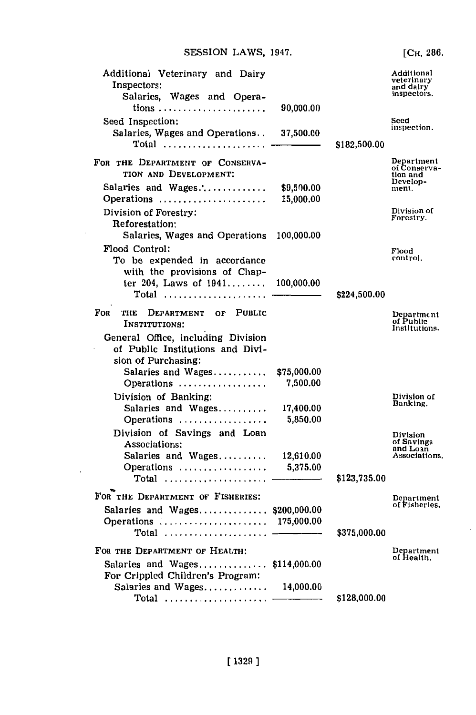| Additional Veterinary and Dairy<br>Inspectors:<br>Salaries, Wages and Opera-                  |                         |              | Additional<br>veterinary<br>and dairy<br>inspectors. |
|-----------------------------------------------------------------------------------------------|-------------------------|--------------|------------------------------------------------------|
|                                                                                               | 90,000.00               |              |                                                      |
| Seed Inspection:<br>Salaries, Wages and Operations                                            | 37,500.00               |              | Seed<br>inspection.                                  |
| Total                                                                                         |                         | \$182,500.00 |                                                      |
| FOR THE DEPARTMENT OF CONSERVA-<br>TION AND DEVELOPMENT:                                      |                         |              | Department<br>of Conserva-<br>tion and<br>Develop-   |
| Salaries and Wages                                                                            | \$9,500.00              |              | ment.                                                |
| Operations<br>Division of Forestry:                                                           | 15,000.00               |              | Division of                                          |
| Reforestation:                                                                                |                         |              | Forestry.                                            |
| Salaries, Wages and Operations                                                                | 100,000.00              |              |                                                      |
| Flood Control:                                                                                |                         |              | Flood                                                |
| To be expended in accordance                                                                  |                         |              | control.                                             |
| with the provisions of Chap-                                                                  |                         |              |                                                      |
| ter 204, Laws of $1941$                                                                       | 100,000.00              |              |                                                      |
| $Total$                                                                                       |                         | \$224,500.00 |                                                      |
| FOR<br><b>PUBLIC</b><br>DEPARTMENT OF<br>THE<br>INSTITUTIONS:                                 |                         |              | Department<br>of Public<br>Institutions.             |
| General Office, including Division<br>of Public Institutions and Divi-<br>sion of Purchasing: |                         |              |                                                      |
| Salaries and $Wages$<br>Operations                                                            | \$75,000.00<br>7,500.00 |              |                                                      |
| Division of Banking:                                                                          |                         |              | Division of                                          |
| Salaries and Wages                                                                            | 17,400.00               |              | Banking.                                             |
| Operations                                                                                    | 5,850.00                |              |                                                      |
| Division of Savings and Loan<br>Associations:                                                 |                         |              | Division<br>of Savings                               |
| Salaries and Wages                                                                            | 12,610.00               |              | and Loan<br>Associations.                            |
| Operations                                                                                    | 5,375.00                |              |                                                      |
|                                                                                               |                         | \$123,735.00 |                                                      |
|                                                                                               |                         |              |                                                      |
| FOR THE DEPARTMENT OF FISHERIES:                                                              |                         |              | Department<br>of Fisheries.                          |
| Salaries and Wages \$200,000.00                                                               |                         |              |                                                      |
| Operations  175,000.00                                                                        |                         |              |                                                      |
| Total $\ldots \ldots \ldots \ldots \ldots \ldots$                                             |                         | \$375,000.00 |                                                      |
| FOR THE DEPARTMENT OF HEALTH:                                                                 |                         |              | Department<br>of Health.                             |
| Salaries and Wages                                                                            | \$114,000.00            |              |                                                      |
| For Crippled Children's Program:                                                              |                         |              |                                                      |
|                                                                                               | 14,000.00               |              |                                                      |
|                                                                                               |                         | \$128,000.00 |                                                      |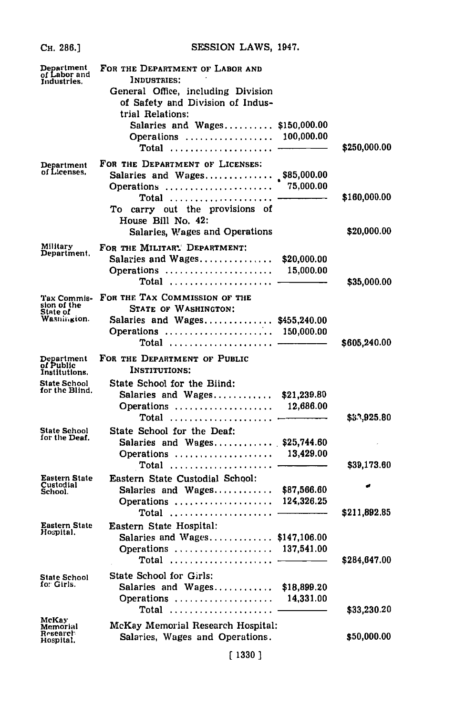| Сн. 286.]                                             | SESSION LAWS, 1947.                                                                                                                                                                                                      |                          |                            |
|-------------------------------------------------------|--------------------------------------------------------------------------------------------------------------------------------------------------------------------------------------------------------------------------|--------------------------|----------------------------|
| Department<br>of Labor and<br>Industries.             | FOR THE DEPARTMENT OF LABOR AND<br>INDUSTRIES:<br>General Office, including Division<br>of Safety and Division of Indus-<br>trial Relations:<br>Salaries and Wages \$150,000.00<br>Operations  100,000.00<br>Total $---$ |                          | \$250,000.00               |
| Department<br>of Licenses.                            | FOR THE DEPARTMENT OF LICENSES:<br>Salaries and Wages\$85,000.00<br>Operations<br>Total<br>To carry out the provisions of<br>House Bill No. 42:                                                                          | 75,000.00                | \$160,000.00               |
| Military<br>Department.                               | Salaries, Wages and Operations<br>FOR THE MILITARY DEPARTMENT:<br>Salaries and Wages<br>Operations<br>$Total$                                                                                                            | \$20,000.00<br>15,000.00 | \$20,000.00<br>\$35,000.00 |
| Tax Commis-<br>sion of the<br>State of<br>Wasnington. | FOR THE TAX COMMISSION OF THE<br>STATE OF WASHINGTON:<br>Salaries and Wages \$455,240.00<br>Operations  150,000.00                                                                                                       |                          | \$605,240.00               |
| Department<br>of Public<br>Institutions.              | FOR THE DEPARTMENT OF PUBLIC<br><b>INSTITUTIONS:</b>                                                                                                                                                                     |                          |                            |
| State School<br>for the Blind.                        | State School for the Biind:<br>Salaries and Wages<br>Operations<br>Total $\dots\dots\dots\dots\dots\dots\dots\dots$                                                                                                      | \$21,239.80<br>12,686.00 | \$53,925.80                |
| State School<br>for the Deaf.                         | State School for the Deaf:<br>Salaries and Wages \$25,744.60<br>Operations  13,429.00<br>Total  ——————                                                                                                                   |                          | \$39,173.60                |
| <b>Eastern State</b><br>Custodial<br>School.          | Eastern State Custodial School:<br>Salaries and Wages $$87,566.60$<br>Operations  124,326.25<br>Total                                                                                                                    |                          | \$211,892.85               |
| <b>Eastern State</b><br>Hospital.                     | Eastern State Hospital:<br>Salaries and Wages \$147,106.00<br>Operations<br>Total                                                                                                                                        | 137,541.00               | \$284,647.00               |
| State School<br>fo: Girls.                            | <b>State School for Girls:</b><br>Salaries and Wages<br>Operations<br>Total                                                                                                                                              | \$18,899.20<br>14,331.00 | \$33,230.20                |
| McKay<br>Memorial<br>Research<br>Hospital.            | McKay Memorial Research Hospital:<br>Salaries, Wages and Operations.<br>[1330]                                                                                                                                           |                          | \$50,000.00                |
|                                                       |                                                                                                                                                                                                                          |                          |                            |

**EDECION TAUR 1047**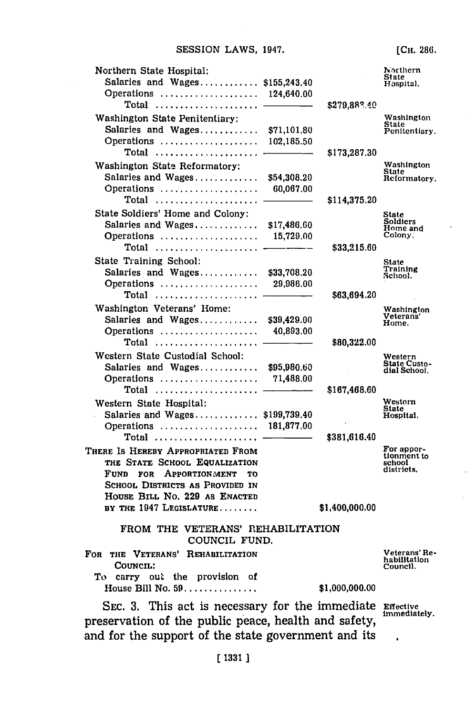| Northern State Hospital:<br>Salaries and Wages<br>Operations  124,640.00 | \$155,243.40 |                | Northern<br>State<br>Hospital, |
|--------------------------------------------------------------------------|--------------|----------------|--------------------------------|
| Total                                                                    |              | \$279,883.40   |                                |
| Washington State Penitentiary:                                           |              |                | Washington                     |
| Salaries and Wages                                                       | \$71,101.80  |                | <b>State</b><br>Penitentiary.  |
| Operations                                                               | 102,185.50   |                |                                |
| Total                                                                    |              | \$173,287,30   |                                |
| Washington State Reformatory:                                            |              |                | Washington                     |
| Salaries and Wages                                                       | \$54,308.20  |                | State<br>Reformatory.          |
| Operations                                                               | 60,067.00    |                |                                |
| Total $\ldots \ldots \ldots \ldots \ldots \ldots$                        |              | \$114,375.20   |                                |
| State Soldiers' Home and Colony:                                         |              |                |                                |
|                                                                          |              |                | State<br>Soldiers              |
|                                                                          | \$17,486.60  |                | Home and<br>Colony.            |
| Operations                                                               | 15,729.00    |                |                                |
|                                                                          |              | \$33,215.60    |                                |
| State Training School:                                                   |              |                | State<br>Training              |
| Salaries and Wages                                                       | \$33,708.20  |                | School.                        |
| Operations                                                               | 29,986.00    |                |                                |
| $Total$                                                                  |              | \$63,694.20    |                                |
| Washington Veterans' Home:                                               |              |                | Washington                     |
| Salaries and Wages                                                       | \$39,429.00  |                | Veterans'<br>Home.             |
| Operations                                                               | 40,893.00    |                |                                |
| $Total$                                                                  |              | \$80,322.00    |                                |
| Western State Custodial School:                                          |              |                | Western                        |
| Salaries and Wages                                                       | \$95,980.60  |                | State Custo-<br>dial School.   |
| Operations                                                               | 71,488.00    |                |                                |
| $Total$                                                                  |              | \$167,468.60   |                                |
| Western State Hospital:                                                  |              |                | Western                        |
| Salaries and Wages                                                       | \$199,739.40 |                | <b>State</b><br>Hospital.      |
| Operations  181,877.00                                                   |              |                |                                |
| $Total$                                                                  |              | \$381,616.40   |                                |
|                                                                          |              |                | For appor-                     |
| THERE IS HEREBY APPROPRIATED FROM                                        |              |                | tionment to                    |
| THE STATE SCHOOL EQUALIZATION                                            |              |                | school<br>districts.           |
| FUND FOR<br><b>APPORTIONMENT</b><br>ТO                                   |              |                |                                |
| SCHOOL DISTRICTS AS PROVIDED IN                                          |              |                |                                |
| HOUSE BILL NO. 229 AS ENACTED                                            |              |                |                                |
| BY THE 1947 LEGISLATURE                                                  |              | \$1,400,000.00 |                                |
| FROM THE VETERANS' REHABILITATION<br>COUNCIL FUND.                       |              |                |                                |
| THE VETERANS'<br>For<br>REHABILITATION                                   |              |                | Veterans' Re-                  |
| Council:                                                                 |              |                | habilitation<br>Council.       |
| out the provision of<br>To -<br>carry                                    |              |                |                                |
| House Bill No. $59$                                                      |              | \$1,000,000.00 |                                |
|                                                                          |              |                |                                |
|                                                                          |              |                |                                |

SEC. 3. This act is necessary for the immediate Effective immediately. preservation of the public peace, health and safety, and for the support of the state government and its  $\ddot{\phantom{0}}$ 

**[CH. 286.**